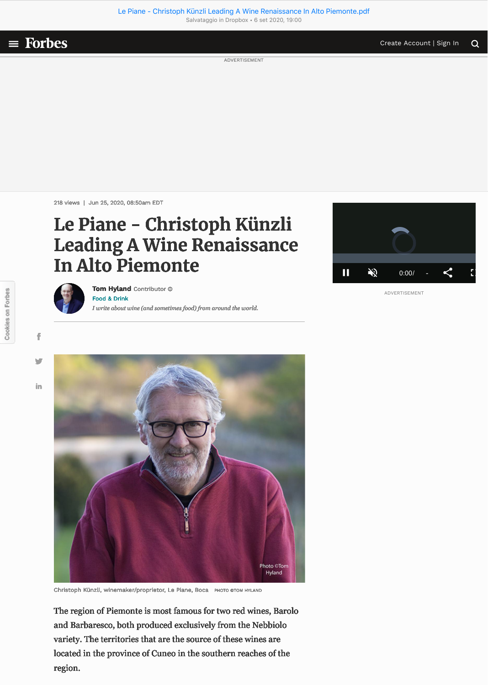ADVERTISEMENT

[Food & Drink](https://www.forbes.com/food-drink) **[Tom Hyland](https://www.forbes.com/sites/tomhyland/)** Contributor  $\odot$ 

*I write about wine (and sometimes food) from around the world.*

# **Le Piane - Christoph Künzli Leading A Wine Renaissance In Alto Piemonte**



218 views | Jun 25, 2020, 08:50am EDT

The region of Piemonte is most famous for two red wines, Barolo and Barbaresco, both produced exclusively from the Nebbiolo variety. The territories that are the source of these wines are located in the province of Cuneo in the southern reaches of the region.

Create Account | Sign In Q



ADVERTISEMENT



in.

f

V

Christoph Künzli, winemaker/proprietor, Le Piane, Boca PHOTO @TOM HYLAND

[Le Piane - Christoph Künzli Leading A Wine Renaissance In Alto Piemonte.pdf](https://www.forbes.com/sites/tomhyland/2020/06/25/le-pianechristoph-knzli-leading-a-wine-renaissance-in-alto-piemonte/#43c4ac9ef753)

Salvataggio in Dropbox • 6 set 2020, 19:00

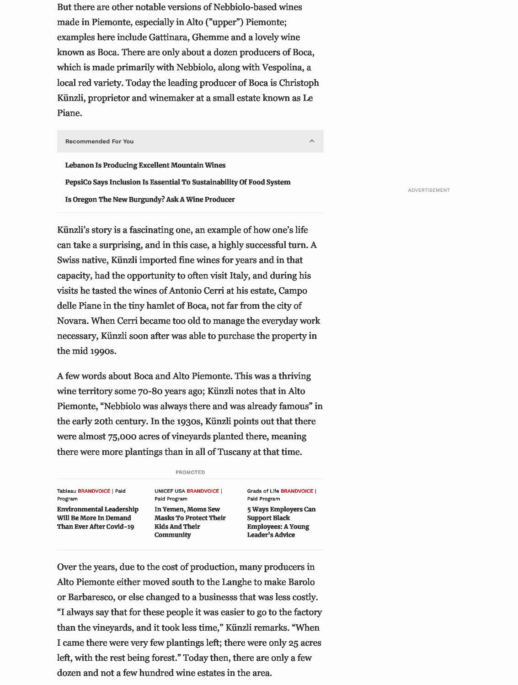But there are other notable versions of Nebbiolo-based wines made in Piemonte, especially in Alto ("upper") Piemonte; examples here include Gattinara, Ghemme and a lovely wine known as Boca. There are only about a dozen producers of Boca, which is made primarily with Nebbiolo, along with Vespolina, a local red variety. Today the leading producer of Boca is Christoph Künzli, proprietor and winemaker at a small estate known as Le Piane.

### **Recommended For You**

Künzli's story is a fascinating one, an example of how one's life can take a surprising, and in this case, a highly successful turn. A Swiss native, Künzli imported fine wines for years and in that capacity, had the opportunity to often visit Italy, and during his visits he tasted the wines of Antonio Cerri at his estate, Campo delle Piane in the tiny hamlet of Boca, not far from the city of Novara. When Cerri became too old to manage the everyday work necessary, Künzli soon after was able to purchase the property in the mid 1990s.

A few words about Boca and Alto Piemonte. This was a thriving wine territory some 70-80 years ago; Künzli notes that in Alto Piemonte, "Nebbiolo was always there and was already famous" in the early 20th century. In the 1930s, Künzli points out that there were almost 75,000 acres of vineyards planted there, meaning there were more plantings than in all of Tuscany at that time.

Over the years, due to the cost of production, many producers in Alto Piemonte either moved south to the Langhe to make Barolo or Barbaresco, or else changed to a businesss that was less costly. "I always say that for these people it was easier to go to the factory than the vineyards, and it took less time," Künzli remarks. "When I came there were very few plantings left; there were only 25 acres left, with the rest being forest." Today then, there are only a few dozen and not a few hundred wine estates in the area.

| <b>PROMOTED</b>                                                                              |                                                                                                         |                                                                                                     |
|----------------------------------------------------------------------------------------------|---------------------------------------------------------------------------------------------------------|-----------------------------------------------------------------------------------------------------|
| Tableau BRANDVOICE   Paid<br>Program                                                         | <b>UNICEF USA BRANDVOICE  </b><br>Paid Program                                                          | Grads of Life BRANDVOICE  <br>Paid Program                                                          |
| <b>Environmental Leadership</b><br><b>Will Be More In Demand</b><br>Than Ever After Covid-19 | <b>In Yemen, Moms Sew</b><br><b>Masks To Protect Their</b><br><b>Kids And Their</b><br><b>Community</b> | 5 Ways Employers Can<br><b>Support Black</b><br><b>Employees: A Young</b><br><b>Leader's Advice</b> |

**[Lebanon Is Producing Excellent Mountain Wines](https://www.forbes.com/sites/tmullen/2020/08/10/lebanon-is-producing-excellent-mountain-wines/) [PepsiCo Says Inclusion Is Essential To Sustainability Of Food System](https://www.forbes.com/sites/shaynaharris/2020/06/25/pepsico-releases-sustainability-report-inclusion-essential-ramon-laguarta-says-systemic-solutions-required/) [Is Oregon The New Burgundy? Ask A Wine Producer](https://www.forbes.com/sites/theworldwineguys/2020/05/26/is-oregon-the-new-burgundy-ask-a-wine-producer/)**

ADVERTISEMENT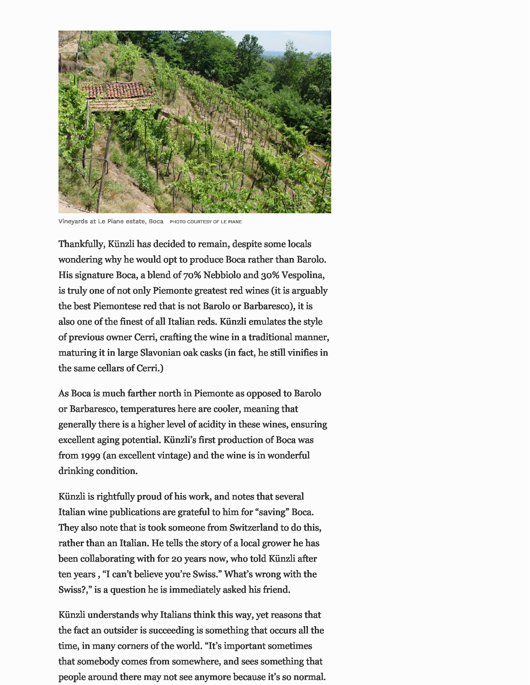

Vineyards at Le Piane estate, Boca PHOTO COURTESY OF LE PIANE

Thankfully, Künzli has decided to remain, despite some locals wondering why he would opt to produce Boca rather than Barolo. His signature Boca, a blend of 70% Nebbiolo and 30% Vespolina, is truly one of not only Piemonte greatest red wines (it is arguably the best Piemontese red that is not Barolo or Barbaresco), it is also one of the finest of all Italian reds. Künzli emulates the style of previous owner Cerri, crafting the wine in a traditional manner, maturing it in large Slavonian oak casks (in fact, he still vinifies in the same cellars of Cerri.)

As Boca is much farther north in Piemonte as opposed to Barolo or Barbaresco, temperatures here are cooler, meaning that generally there is a higher level of acidity in these wines, ensuring excellent aging potential. Künzli's first production of Boca was from 1999 (an excellent vintage) and the wine is in wonderful

### drinking condition.

Künzli is rightfully proud of his work, and notes that several Italian wine publications are grateful to him for "saving" Boca. They also note that is took someone from Switzerland to do this, rather than an Italian. He tells the story of a local grower he has been collaborating with for 20 years now, who told Künzli after ten years , "I can't believe you're Swiss." What's wrong with the Swiss?," is a question he is immediately asked his friend.

Künzli understands why Italians think this way, yet reasons that the fact an outsider is succeeding is something that occurs all the time, in many corners of the world. "It's important sometimes that somebody comes from somewhere, and sees something that people around there may not see anymore because it's so normal.